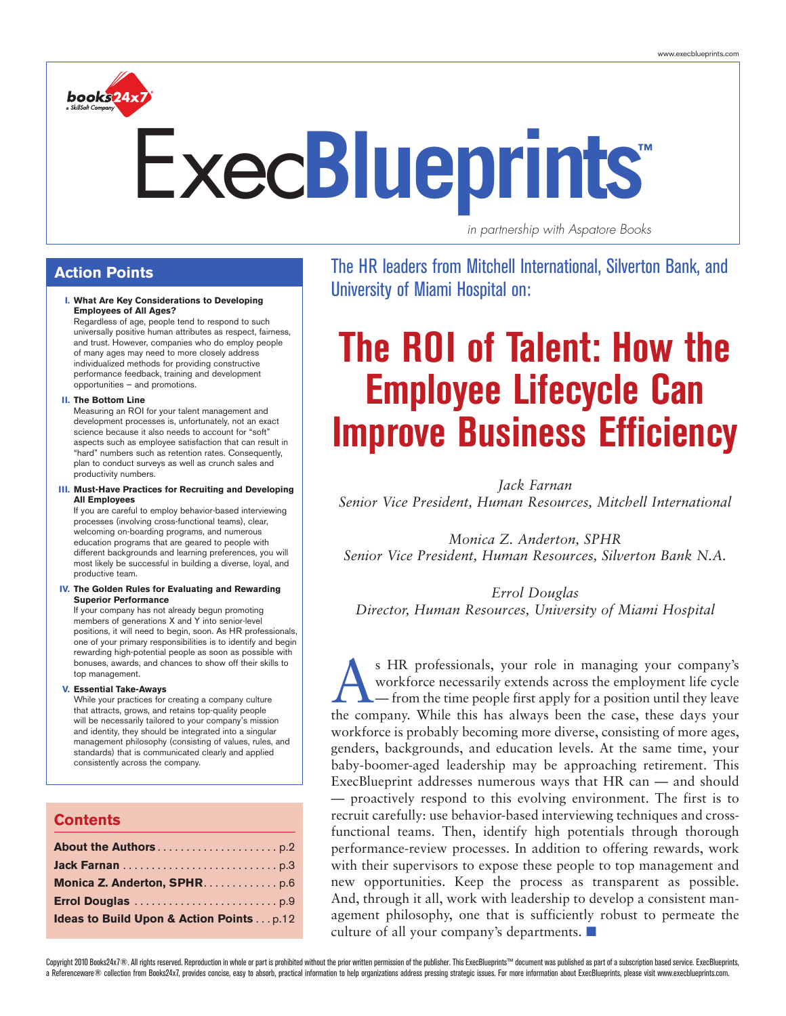

# **™** Exec**Blueprints**

*in partnership with Aspatore Books*

### **Action Points**

#### **I. What Are Key Considerations to Developing Employees of All Ages?**

Regardless of age, people tend to respond to such universally positive human attributes as respect, fairness, and trust. However, companies who do employ people of many ages may need to more closely address individualized methods for providing constructive performance feedback, training and development opportunities — and promotions.

#### **II. The Bottom Line**

Measuring an ROI for your talent management and development processes is, unfortunately, not an exact science because it also needs to account for "soft" aspects such as employee satisfaction that can result in "hard" numbers such as retention rates. Consequently, plan to conduct surveys as well as crunch sales and productivity numbers.

#### **III. Must-Have Practices for Recruiting and Developing All Employees**

If you are careful to employ behavior-based interviewing processes (involving cross-functional teams), clear, welcoming on-boarding programs, and numerous education programs that are geared to people with different backgrounds and learning preferences, you will most likely be successful in building a diverse, loyal, and productive team.

#### **IV. The Golden Rules for Evaluating and Rewarding Superior Performance**

If your company has not already begun promoting members of generations X and Y into senior-level positions, it will need to begin, soon. As HR professionals, one of your primary responsibilities is to identify and begin rewarding high-potential people as soon as possible with bonuses, awards, and chances to show off their skills to top management.

#### **V. Essential Take-Aways**

While your practices for creating a company culture that attracts, grows, and retains top-quality people will be necessarily tailored to your company's mission and identity, they should be integrated into a singular management philosophy (consisting of values, rules, and standards) that is communicated clearly and applied consistently across the company.

### **Contents**

| Monica Z. Anderton, SPHR. p.6                      |
|----------------------------------------------------|
|                                                    |
| <b>Ideas to Build Upon &amp; Action Pointsp.12</b> |

The HR leaders from Mitchell International, Silverton Bank, and University of Miami Hospital on:

# **The ROI of Talent: How the Employee Lifecycle Can Improve Business Efficiency**

*Jack Farnan Senior Vice President, Human Resources, Mitchell International*

*Monica Z. Anderton, SPHR Senior Vice President, Human Resources, Silverton Bank N.A.*

*Errol Douglas Director, Human Resources, University of Miami Hospital*

S HR professionals, your role in managing your company's<br>
workforce necessarily extends across the employment life cycle<br>
— from the time people first apply for a position until they leave<br>
the sempary While this has alway workforce necessarily extends across the employment life cycle the company. While this has always been the case, these days your workforce is probably becoming more diverse, consisting of more ages, genders, backgrounds, and education levels. At the same time, your baby-boomer-aged leadership may be approaching retirement. This ExecBlueprint addresses numerous ways that HR can — and should — proactively respond to this evolving environment. The first is to recruit carefully: use behavior-based interviewing techniques and crossfunctional teams. Then, identify high potentials through thorough performance-review processes. In addition to offering rewards, work with their supervisors to expose these people to top management and new opportunities. Keep the process as transparent as possible. And, through it all, work with leadership to develop a consistent management philosophy, one that is sufficiently robust to permeate the culture of all your company's departments.  $\blacksquare$ 

Copyright 2010 Books24x7®. All rights reserved. Reproduction in whole or part is prohibited without the prior written permission of the publisher. This ExecBlueprints™ document was published as part of a subscription base a Referenceware® collection from Books24x7, provides concise, easy to absorb, practical information to helo organizations address pressing strategic issues. For more information about ExecBlueprints, please visit www.execb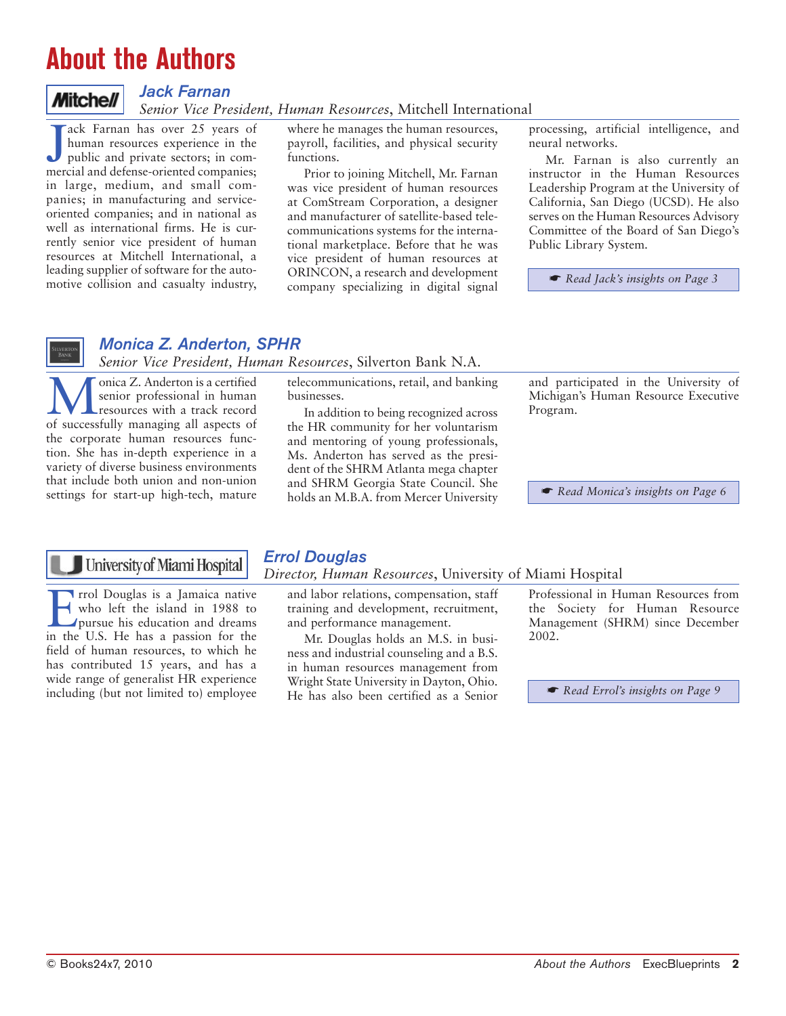### **About the Authors**

### **Mitchell**

### *Jack Farnan*

*Senior Vice President, Human Resources*, Mitchell International

J ack Farnan has over 25 years of<br>human resources experience in the<br>public and private sectors; in com-<br>mercial and defense-oriented companies; ack Farnan has over 25 years of human resources experience in the public and private sectors; in comin large, medium, and small companies; in manufacturing and serviceoriented companies; and in national as well as international firms. He is currently senior vice president of human resources at Mitchell International, a leading supplier of software for the automotive collision and casualty industry,

where he manages the human resources, payroll, facilities, and physical security functions.

Prior to joining Mitchell, Mr. Farnan was vice president of human resources at ComStream Corporation, a designer and manufacturer of satellite-based telecommunications systems for the international marketplace. Before that he was vice president of human resources at ORINCON, a research and development company specializing in digital signal processing, artificial intelligence, and neural networks.

Mr. Farnan is also currently an instructor in the Human Resources Leadership Program at the University of California, San Diego (UCSD). He also serves on the Human Resources Advisory Committee of the Board of San Diego's Public Library System.

☛ *Read Jack's insights on Page 3*

### *Monica Z. Anderton, SPHR*

*Senior Vice President, Human Resources*, Silverton Bank N.A.

onica Z. Anderton is a certified senior professional in human resources with a track record of successfully managing all aspects of the corporate human resources function. She has in-depth experience in a variety of diverse business environments that include both union and non-union settings for start-up high-tech, mature

telecommunications, retail, and banking businesses.

In addition to being recognized across the HR community for her voluntarism and mentoring of young professionals, Ms. Anderton has served as the president of the SHRM Atlanta mega chapter and SHRM Georgia State Council. She holds an M.B.A. from Mercer University

and participated in the University of Michigan's Human Resource Executive Program.

☛ *Read Monica's insights on Page 6*

### University of Miami Hospital

Find Douglas is a Jamaica native<br>who left the island in 1988 to<br>pursue his education and dreams who left the island in 1988 to pursue his education and dreams in the U.S. He has a passion for the field of human resources, to which he has contributed 15 years, and has a wide range of generalist HR experience including (but not limited to) employee

### *Errol Douglas*

### *Director, Human Resources*, University of Miami Hospital

and labor relations, compensation, staff training and development, recruitment, and performance management.

Mr. Douglas holds an M.S. in business and industrial counseling and a B.S. in human resources management from Wright State University in Dayton, Ohio. He has also been certified as a Senior Professional in Human Resources from the Society for Human Resource Management (SHRM) since December 2002.

☛ *Read Errol's insights on Page 9*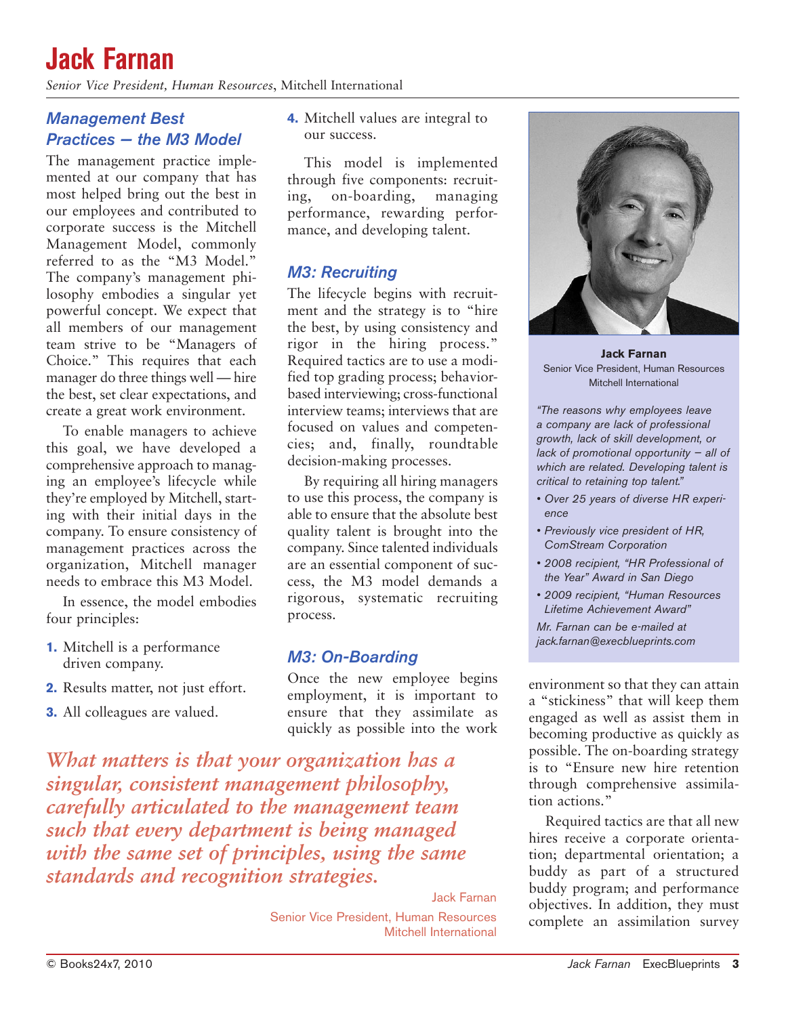### **Jack Farnan**

*Senior Vice President, Human Resources*, Mitchell International

### *Management Best Practices — the M3 Model*

The management practice implemented at our company that has most helped bring out the best in our employees and contributed to corporate success is the Mitchell Management Model, commonly referred to as the "M3 Model." The company's management philosophy embodies a singular yet powerful concept. We expect that all members of our management team strive to be "Managers of Choice." This requires that each manager do three things well — hire the best, set clear expectations, and create a great work environment.

To enable managers to achieve this goal, we have developed a comprehensive approach to managing an employee's lifecycle while they're employed by Mitchell, starting with their initial days in the company. To ensure consistency of management practices across the organization, Mitchell manager needs to embrace this M3 Model.

In essence, the model embodies four principles:

- **1.** Mitchell is a performance driven company.
- **2.** Results matter, not just effort.
- **3.** All colleagues are valued.

**4.** Mitchell values are integral to our success.

This model is implemented through five components: recruiting, on-boarding, managing performance, rewarding performance, and developing talent.

### *M3: Recruiting*

The lifecycle begins with recruitment and the strategy is to "hire the best, by using consistency and rigor in the hiring process." Required tactics are to use a modified top grading process; behaviorbased interviewing; cross-functional interview teams; interviews that are focused on values and competencies; and, finally, roundtable decision-making processes.

By requiring all hiring managers to use this process, the company is able to ensure that the absolute best quality talent is brought into the company. Since talented individuals are an essential component of success, the M3 model demands a rigorous, systematic recruiting process.

### *M3: On-Boarding*

Once the new employee begins employment, it is important to ensure that they assimilate as quickly as possible into the work

*What matters is that your organization has a singular, consistent management philosophy, carefully articulated to the management team such that every department is being managed with the same set of principles, using the same standards and recognition strategies.*

Jack Farnan

Senior Vice President, Human Resources Mitchell International



**Jack Farnan** Senior Vice President, Human Resources Mitchell International

*"The reasons why employees leave a company are lack of professional growth, lack of skill development, or lack of promotional opportunity — all of which are related. Developing talent is critical to retaining top talent."*

- *• Over 25 years of diverse HR experience*
- *• Previously vice president of HR, ComStream Corporation*
- *• 2008 recipient, "HR Professional of the Year" Award in San Diego*
- *• 2009 recipient, "Human Resources Lifetime Achievement Award"*

*Mr. Farnan can be e-mailed at jack.farnan@execblueprints.com*

environment so that they can attain a "stickiness" that will keep them engaged as well as assist them in becoming productive as quickly as possible. The on-boarding strategy is to "Ensure new hire retention through comprehensive assimilation actions."

Required tactics are that all new hires receive a corporate orientation; departmental orientation; a buddy as part of a structured buddy program; and performance objectives. In addition, they must complete an assimilation survey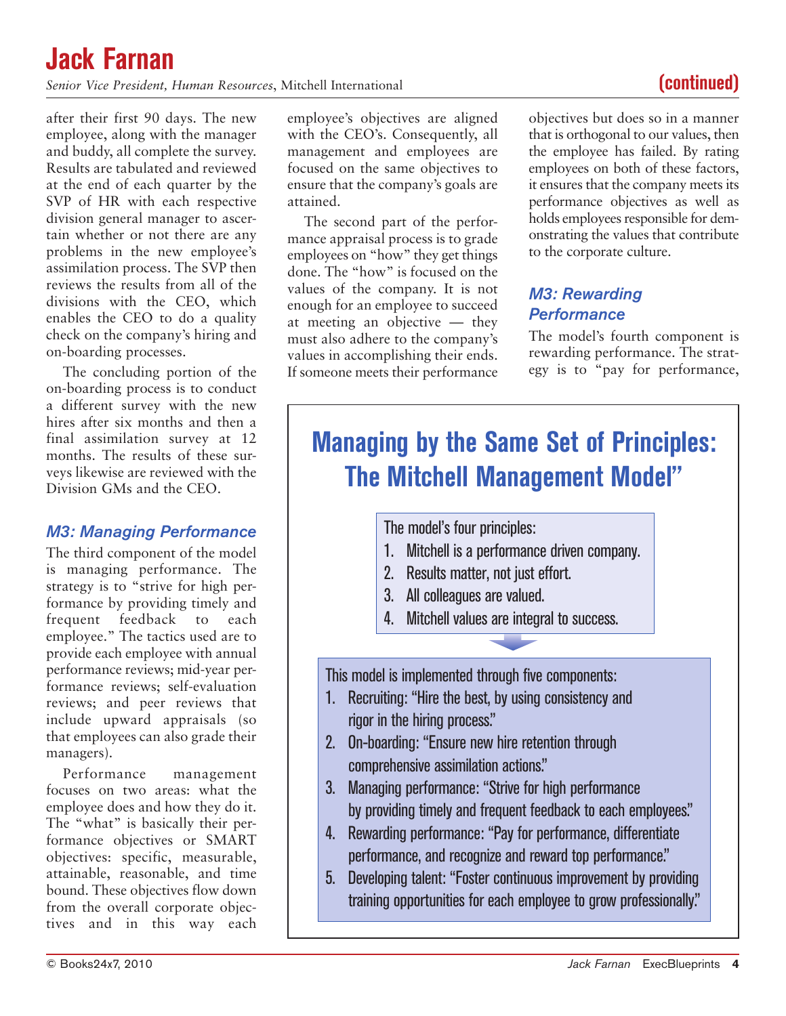### **Jack Farnan** *Senior Vice President, Human Resources*, Mitchell International **(continued)**

after their first 90 days. The new employee, along with the manager and buddy, all complete the survey. Results are tabulated and reviewed at the end of each quarter by the SVP of HR with each respective division general manager to ascertain whether or not there are any problems in the new employee's assimilation process. The SVP then reviews the results from all of the divisions with the CEO, which enables the CEO to do a quality check on the company's hiring and on-boarding processes.

The concluding portion of the on-boarding process is to conduct a different survey with the new hires after six months and then a final assimilation survey at 12 months. The results of these surveys likewise are reviewed with the Division GMs and the CEO.

### *M3: Managing Performance*

The third component of the model is managing performance. The strategy is to "strive for high performance by providing timely and frequent feedback to each employee." The tactics used are to provide each employee with annual performance reviews; mid-year performance reviews; self-evaluation reviews; and peer reviews that include upward appraisals (so that employees can also grade their managers).

Performance management focuses on two areas: what the employee does and how they do it. The "what" is basically their performance objectives or SMART objectives: specific, measurable, attainable, reasonable, and time bound. These objectives flow down from the overall corporate objectives and in this way each

employee's objectives are aligned with the CEO's. Consequently, all management and employees are focused on the same objectives to ensure that the company's goals are attained.

The second part of the performance appraisal process is to grade employees on "how" they get things done. The "how" is focused on the values of the company. It is not enough for an employee to succeed at meeting an objective — they must also adhere to the company's values in accomplishing their ends. If someone meets their performance

objectives but does so in a manner that is orthogonal to our values, then the employee has failed. By rating employees on both of these factors, it ensures that the company meets its performance objectives as well as holds employees responsible for demonstrating the values that contribute to the corporate culture.

### *M3: Rewarding Performance*

The model's fourth component is rewarding performance. The strategy is to "pay for performance,

## **Managing by the Same Set of Principles: The Mitchell Management Model"**

The model's four principles:

- 1. Mitchell is a performance driven company.
- 2. Results matter, not just effort.
- 3. All colleagues are valued.
- 4. Mitchell values are integral to success.

This model is implemented through five components:

- 1. Recruiting: "Hire the best, by using consistency and rigor in the hiring process."
- 2. On-boarding: "Ensure new hire retention through comprehensive assimilation actions."
- 3. Managing performance: "Strive for high performance by providing timely and frequent feedback to each employees."
- 4. Rewarding performance: "Pay for performance, differentiate performance, and recognize and reward top performance."
- 5. Developing talent: "Foster continuous improvement by providing training opportunities for each employee to grow professionally."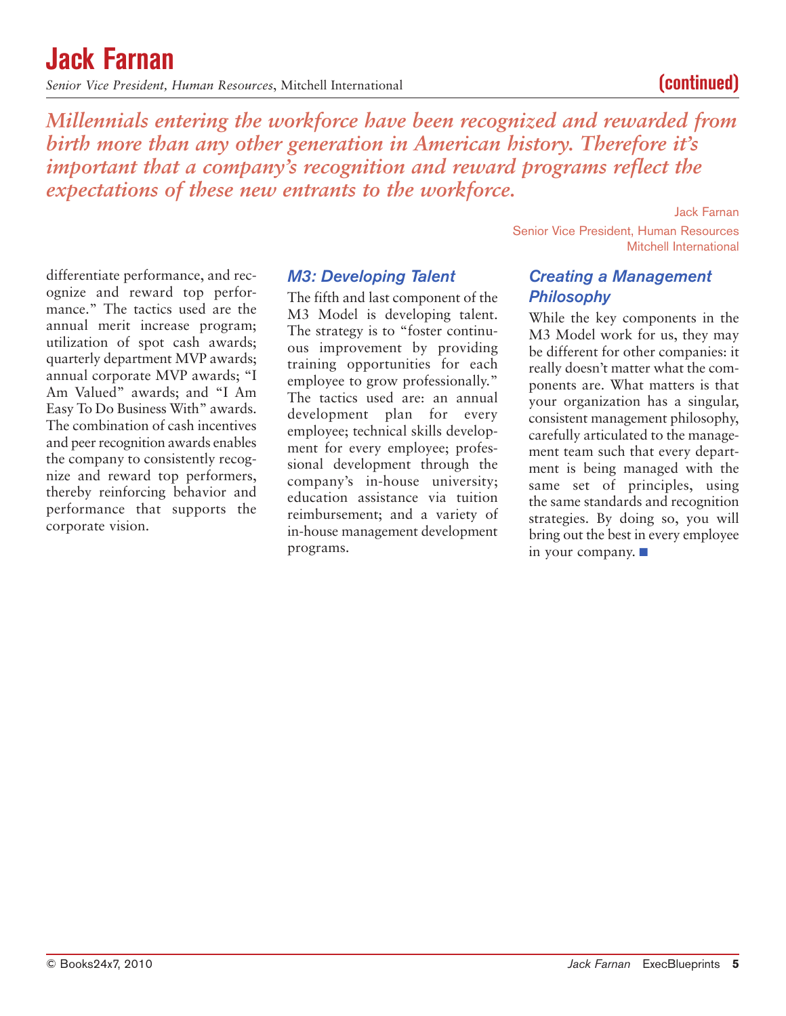the company to consistently recognize and reward top performers, thereby reinforcing behavior and performance that supports the corporate vision.

differentiate performance, and recognize and reward top performance." The tactics used are the annual merit increase program; utilization of spot cash awards; quarterly department MVP awards; annual corporate MVP awards; "I Am Valued" awards; and "I Am Easy To Do Business With" awards. The combination of cash incentives and peer recognition awards enables

### *M3: Developing Talent*

The fifth and last component of the M3 Model is developing talent. The strategy is to "foster continuous improvement by providing training opportunities for each employee to grow professionally." The tactics used are: an annual development plan for every employee; technical skills development for every employee; professional development through the company's in-house university; education assistance via tuition reimbursement; and a variety of in-house management development programs.

### **Jack Farnan**

*Senior Vice President, Human Resources*, Mitchell International **(continued)**

*Millennials entering the workforce have been recognized and rewarded from birth more than any other generation in American history. Therefore it's important that a company's recognition and reward programs reflect the expectations of these new entrants to the workforce.*

Jack Farnan

Senior Vice President, Human Resources Mitchell International

### *Creating a Management Philosophy*

While the key components in the M3 Model work for us, they may be different for other companies: it really doesn't matter what the components are. What matters is that your organization has a singular, consistent management philosophy, carefully articulated to the management team such that every department is being managed with the same set of principles, using the same standards and recognition strategies. By doing so, you will bring out the best in every employee in your company.  $\blacksquare$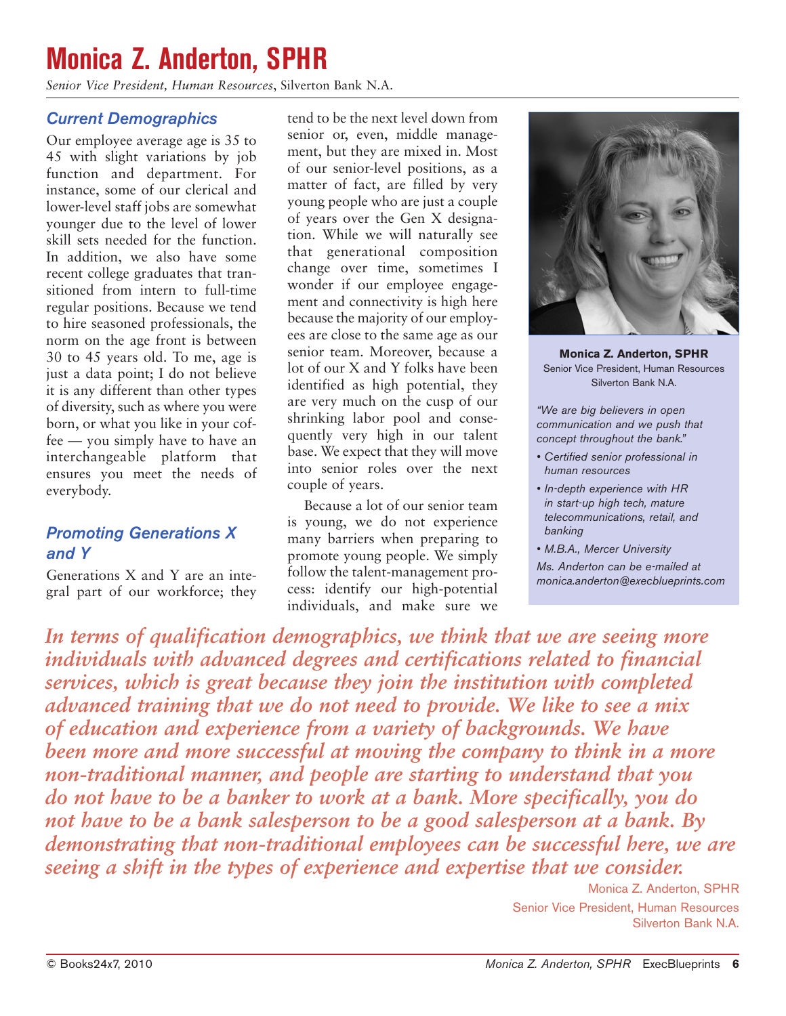### **Monica Z. Anderton, SPHR**

*Senior Vice President, Human Resources*, Silverton Bank N.A.

### *Current Demographics*

Our employee average age is 35 to 45 with slight variations by job function and department. For instance, some of our clerical and lower-level staff jobs are somewhat younger due to the level of lower skill sets needed for the function. In addition, we also have some recent college graduates that transitioned from intern to full-time regular positions. Because we tend to hire seasoned professionals, the norm on the age front is between 30 to 45 years old. To me, age is just a data point; I do not believe it is any different than other types of diversity, such as where you were born, or what you like in your coffee — you simply have to have an interchangeable platform that ensures you meet the needs of everybody.

### *Promoting Generations X and Y*

Generations X and Y are an integral part of our workforce; they

tend to be the next level down from senior or, even, middle management, but they are mixed in. Most of our senior-level positions, as a matter of fact, are filled by very young people who are just a couple of years over the Gen X designation. While we will naturally see that generational composition change over time, sometimes I wonder if our employee engagement and connectivity is high here because the majority of our employees are close to the same age as our senior team. Moreover, because a lot of our X and Y folks have been identified as high potential, they are very much on the cusp of our shrinking labor pool and consequently very high in our talent base. We expect that they will move into senior roles over the next couple of years.

Because a lot of our senior team is young, we do not experience many barriers when preparing to promote young people. We simply follow the talent-management process: identify our high-potential individuals, and make sure we



**Monica Z. Anderton, SPHR** Senior Vice President, Human Resources Silverton Bank N.A.

*"We are big believers in open communication and we push that concept throughout the bank."*

- *• Certified senior professional in human resources*
- *• In-depth experience with HR in start-up high tech, mature telecommunications, retail, and banking*
- *• M.B.A., Mercer University*

*Ms. Anderton can be e-mailed at monica.anderton@execblueprints.com*

In terms of qualification demographics, we think that we are seeing more *individuals with advanced degrees and certifications related to financial services, which is great because they join the institution with completed advanced training that we do not need to provide. We like to see a mix of education and experience from a variety of backgrounds. We have been more and more successful at moving the company to think in a more non-traditional manner, and people are starting to understand that you do not have to be a banker to work at a bank. More specifically, you do not have to be a bank salesperson to be a good salesperson at a bank. By demonstrating that non-traditional employees can be successful here, we are seeing a shift in the types of experience and expertise that we consider.*

> Monica Z. Anderton, SPHR Senior Vice President, Human Resources Silverton Bank N.A.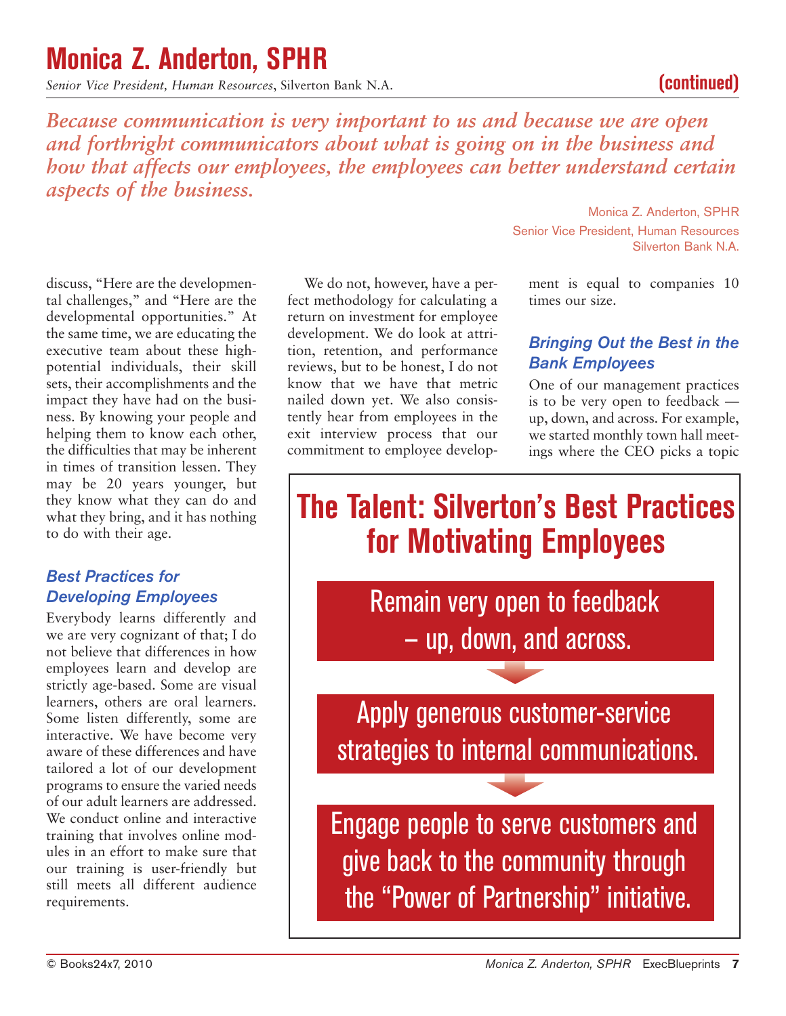### **Monica Z. Anderton, SPHR**

*Senior Vice President, Human Resources*, Silverton Bank N.A. **(continued)**

*Because communication is very important to us and because we are open and forthright communicators about what is going on in the business and how that affects our employees, the employees can better understand certain aspects of the business.*

discuss, "Here are the developmental challenges," and "Here are the developmental opportunities." At the same time, we are educating the executive team about these highpotential individuals, their skill sets, their accomplishments and the impact they have had on the business. By knowing your people and helping them to know each other, the difficulties that may be inherent in times of transition lessen. They may be 20 years younger, but they know what they can do and what they bring, and it has nothing to do with their age.

### *Best Practices for Developing Employees*

Everybody learns differently and we are very cognizant of that; I do not believe that differences in how employees learn and develop are strictly age-based. Some are visual learners, others are oral learners. Some listen differently, some are interactive. We have become very aware of these differences and have tailored a lot of our development programs to ensure the varied needs of our adult learners are addressed. We conduct online and interactive training that involves online modules in an effort to make sure that our training is user-friendly but still meets all different audience requirements.

We do not, however, have a perfect methodology for calculating a return on investment for employee development. We do look at attrition, retention, and performance reviews, but to be honest, I do not know that we have that metric nailed down yet. We also consistently hear from employees in the exit interview process that our commitment to employee develop-

Monica Z. Anderton, SPHR Senior Vice President, Human Resources Silverton Bank N.A.

ment is equal to companies 10 times our size.

### *Bringing Out the Best in the Bank Employees*

One of our management practices is to be very open to feedback up, down, and across. For example, we started monthly town hall meetings where the CEO picks a topic

## **The Talent: Silverton's Best Practices for Motivating Employees**

Remain very open to feedback — up, down, and across.

Apply generous customer-service strategies to internal communications.

Engage people to serve customers and give back to the community through the "Power of Partnership" initiative.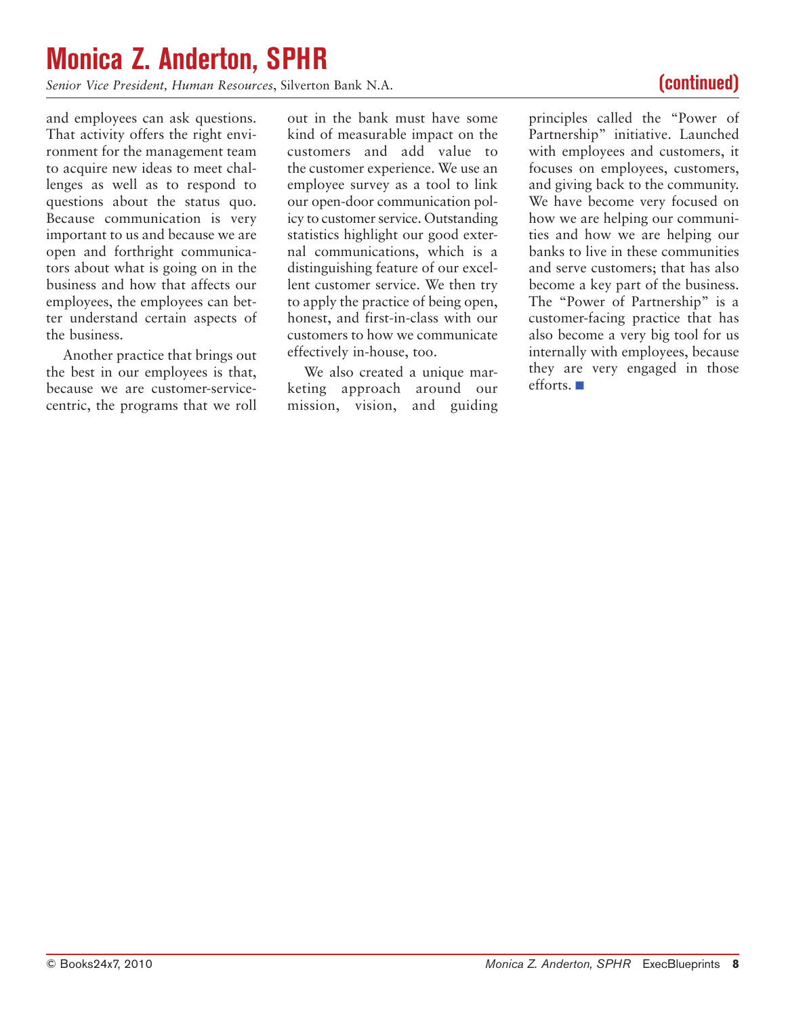### **Monica Z. Anderton, SPHR**

*Senior Vice President, Human Resources*, Silverton Bank N.A. **(continued)**

and employees can ask questions. That activity offers the right environment for the management team to acquire new ideas to meet challenges as well as to respond to questions about the status quo. Because communication is very important to us and because we are open and forthright communicators about what is going on in the business and how that affects our employees, the employees can better understand certain aspects of the business.

Another practice that brings out the best in our employees is that, because we are customer-servicecentric, the programs that we roll

out in the bank must have some kind of measurable impact on the customers and add value to the customer experience. We use an employee survey as a tool to link our open-door communication policy to customer service. Outstanding statistics highlight our good external communications, which is a distinguishing feature of our excellent customer service. We then try to apply the practice of being open, honest, and first-in-class with our customers to how we communicate effectively in-house, too.

We also created a unique marketing approach around our mission, vision, and guiding principles called the "Power of Partnership" initiative. Launched with employees and customers, it focuses on employees, customers, and giving back to the community. We have become very focused on how we are helping our communities and how we are helping our banks to live in these communities and serve customers; that has also become a key part of the business. The "Power of Partnership" is a customer-facing practice that has also become a very big tool for us internally with employees, because they are very engaged in those efforts.  $\blacksquare$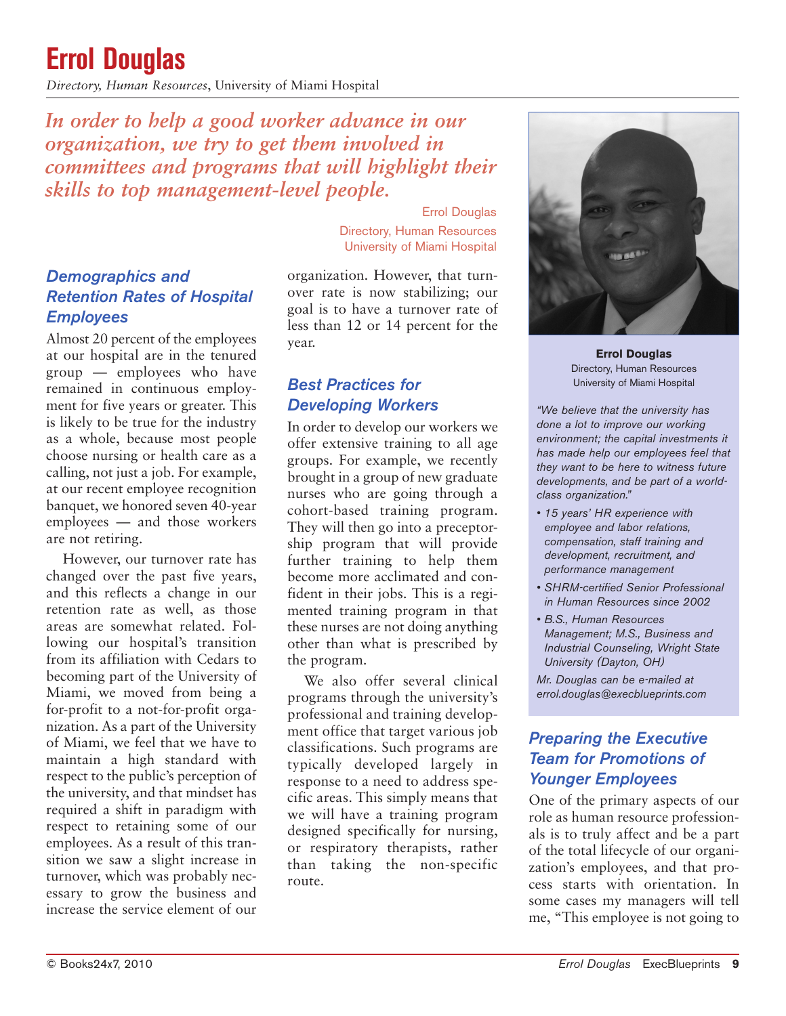## **Errol Douglas**

*Directory, Human Resources*, University of Miami Hospital

*In order to help a good worker advance in our organization, we try to get them involved in committees and programs that will highlight their skills to top management-level people.*

### *Demographics and Retention Rates of Hospital Employees*

Almost 20 percent of the employees at our hospital are in the tenured group — employees who have remained in continuous employment for five years or greater. This is likely to be true for the industry as a whole, because most people choose nursing or health care as a calling, not just a job. For example, at our recent employee recognition banquet, we honored seven 40-year employees — and those workers are not retiring.

However, our turnover rate has changed over the past five years, and this reflects a change in our retention rate as well, as those areas are somewhat related. Following our hospital's transition from its affiliation with Cedars to becoming part of the University of Miami, we moved from being a for-profit to a not-for-profit organization. As a part of the University of Miami, we feel that we have to maintain a high standard with respect to the public's perception of the university, and that mindset has required a shift in paradigm with respect to retaining some of our employees. As a result of this transition we saw a slight increase in turnover, which was probably necessary to grow the business and increase the service element of our

Errol Douglas Directory, Human Resources University of Miami Hospital

organization. However, that turnover rate is now stabilizing; our goal is to have a turnover rate of less than 12 or 14 percent for the year.

### *Best Practices for Developing Workers*

In order to develop our workers we offer extensive training to all age groups. For example, we recently brought in a group of new graduate nurses who are going through a cohort-based training program. They will then go into a preceptorship program that will provide further training to help them become more acclimated and confident in their jobs. This is a regimented training program in that these nurses are not doing anything other than what is prescribed by the program.

We also offer several clinical programs through the university's professional and training development office that target various job classifications. Such programs are typically developed largely in response to a need to address specific areas. This simply means that we will have a training program designed specifically for nursing, or respiratory therapists, rather than taking the non-specific route.



**Errol Douglas** Directory, Human Resources University of Miami Hospital

*"We believe that the university has done a lot to improve our working environment; the capital investments it has made help our employees feel that they want to be here to witness future developments, and be part of a worldclass organization."*

- *• 15 years' HR experience with employee and labor relations, compensation, staff training and development, recruitment, and performance management*
- *• SHRM-certified Senior Professional in Human Resources since 2002*
- *• B.S., Human Resources Management; M.S., Business and Industrial Counseling, Wright State University (Dayton, OH)*

*Mr. Douglas can be e-mailed at errol.douglas@execblueprints.com*

### *Preparing the Executive Team for Promotions of Younger Employees*

One of the primary aspects of our role as human resource professionals is to truly affect and be a part of the total lifecycle of our organization's employees, and that process starts with orientation. In some cases my managers will tell me, "This employee is not going to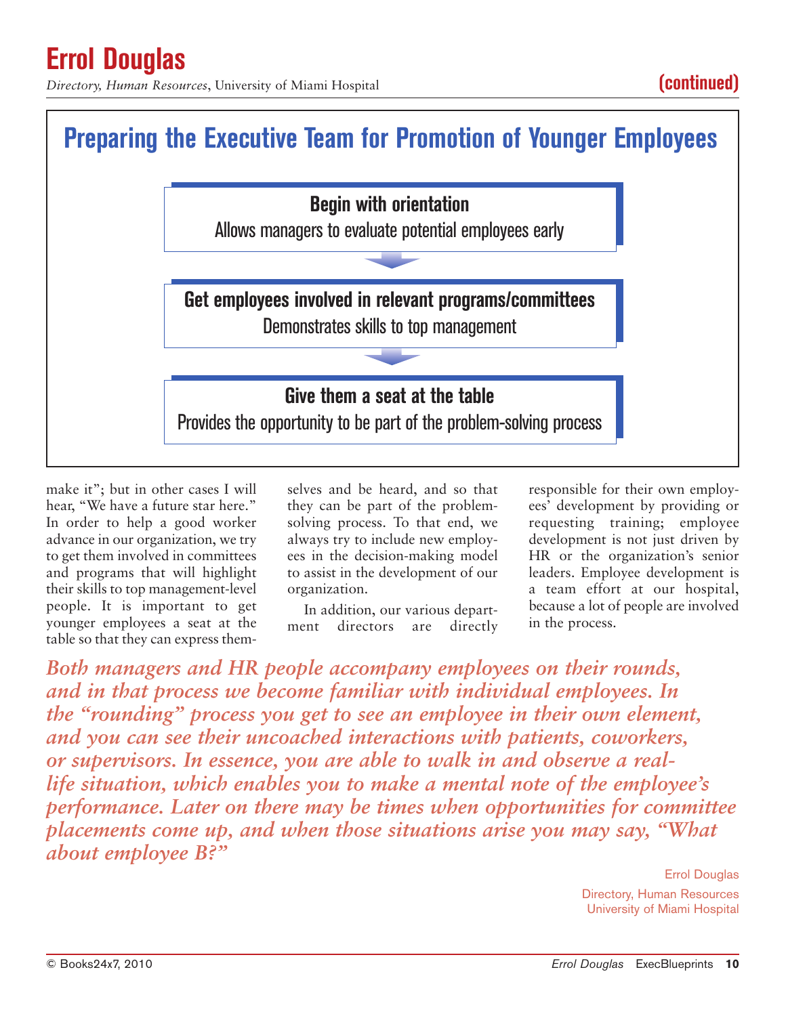*Directory, Human Resources*, University of Miami Hospital **(continued)** 



make it"; but in other cases I will hear, "We have a future star here." In order to help a good worker advance in our organization, we try to get them involved in committees and programs that will highlight their skills to top management-level people. It is important to get younger employees a seat at the table so that they can express themselves and be heard, and so that they can be part of the problemsolving process. To that end, we always try to include new employees in the decision-making model to assist in the development of our organization.

In addition, our various department directors are directly responsible for their own employees' development by providing or requesting training; employee development is not just driven by HR or the organization's senior leaders. Employee development is a team effort at our hospital, because a lot of people are involved in the process.

*Both managers and HR people accompany employees on their rounds, and in that process we become familiar with individual employees. In the "rounding" process you get to see an employee in their own element, and you can see their uncoached interactions with patients, coworkers, or supervisors. In essence, you are able to walk in and observe a reallife situation, which enables you to make a mental note of the employee's performance. Later on there may be times when opportunities for committee placements come up, and when those situations arise you may say, "What about employee B?"*

> Errol Douglas Directory, Human Resources University of Miami Hospital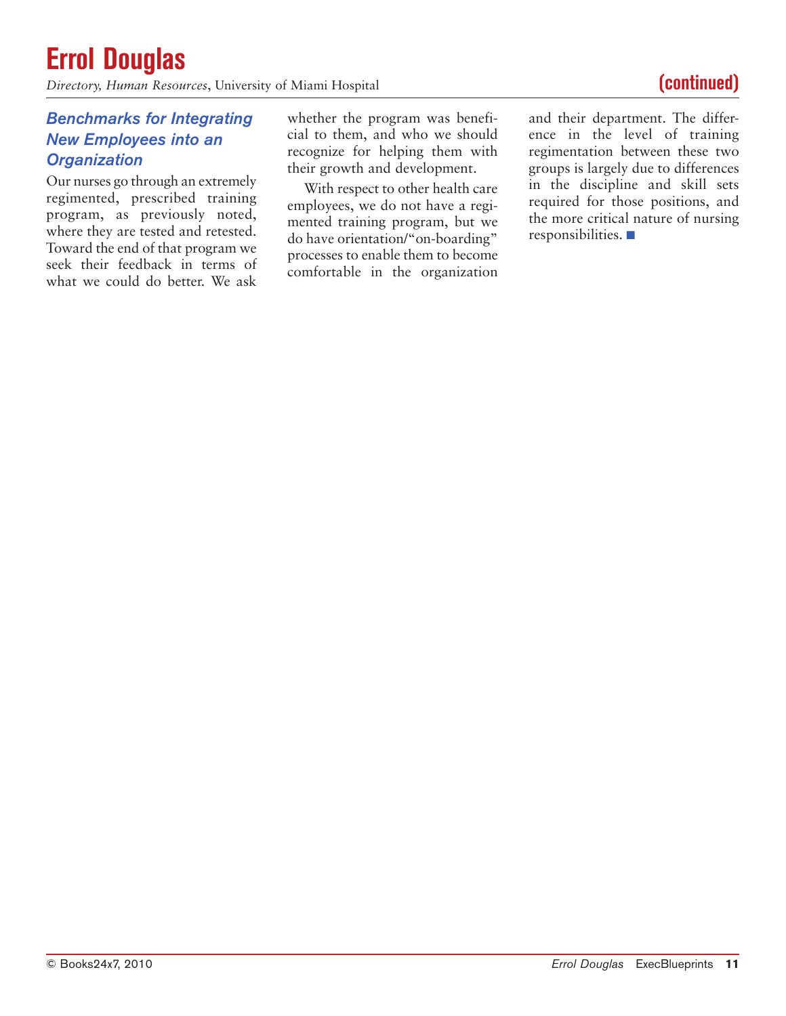## **Errol Douglas**

*Directory, Human Resources*, University of Miami Hospital **(continued) (continued)** 

### *Benchmarks for Integrating New Employees into an Organization*

Our nurses go through an extremely regimented, prescribed training program, as previously noted, where they are tested and retested. Toward the end of that program we seek their feedback in terms of what we could do better. We ask

whether the program was beneficial to them, and who we should recognize for helping them with their growth and development.

With respect to other health care employees, we do not have a regimented training program, but we do have orientation/"on-boarding" processes to enable them to become comfortable in the organization and their department. The difference in the level of training regimentation between these two groups is largely due to differences in the discipline and skill sets required for those positions, and the more critical nature of nursing  $responsibleities.$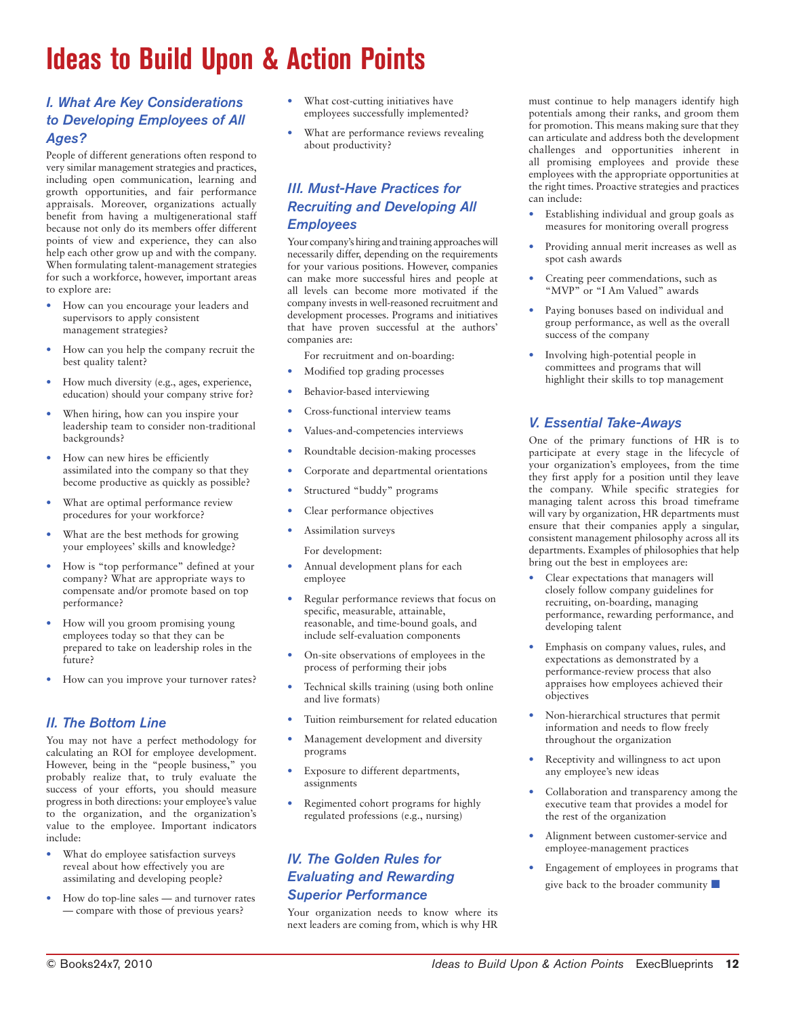## **Ideas to Build Upon & Action Points**

### *I. What Are Key Considerations to Developing Employees of All Ages?*

People of different generations often respond to very similar management strategies and practices, including open communication, learning and growth opportunities, and fair performance appraisals. Moreover, organizations actually benefit from having a multigenerational staff because not only do its members offer different points of view and experience, they can also help each other grow up and with the company. When formulating talent-management strategies for such a workforce, however, important areas to explore are:

- How can you encourage your leaders and supervisors to apply consistent management strategies?
- How can you help the company recruit the best quality talent?
- How much diversity (e.g., ages, experience, education) should your company strive for?
- When hiring, how can you inspire your leadership team to consider non-traditional backgrounds?
- How can new hires be efficiently assimilated into the company so that they become productive as quickly as possible?
- What are optimal performance review procedures for your workforce?
- What are the best methods for growing your employees' skills and knowledge?
- How is "top performance" defined at your company? What are appropriate ways to compensate and/or promote based on top performance?
- How will you groom promising young employees today so that they can be prepared to take on leadership roles in the future?
- How can you improve your turnover rates?

### *II. The Bottom Line*

You may not have a perfect methodology for calculating an ROI for employee development. However, being in the "people business," you probably realize that, to truly evaluate the success of your efforts, you should measure progress in both directions: your employee's value to the organization, and the organization's value to the employee. Important indicators include:

- What do employee satisfaction surveys reveal about how effectively you are assimilating and developing people?
- How do top-line sales and turnover rates — compare with those of previous years?
- What cost-cutting initiatives have employees successfully implemented?
- What are performance reviews revealing about productivity?

### *III. Must-Have Practices for Recruiting and Developing All Employees*

Your company's hiring and training approaches will necessarily differ, depending on the requirements for your various positions. However, companies can make more successful hires and people at all levels can become more motivated if the company invests in well-reasoned recruitment and development processes. Programs and initiatives that have proven successful at the authors' companies are:

- For recruitment and on-boarding:
- Modified top grading processes
- Behavior-based interviewing
- Cross-functional interview teams
- Values-and-competencies interviews
- Roundtable decision-making processes
- Corporate and departmental orientations
- Structured "buddy" programs
- Clear performance objectives
- Assimilation surveys
	- For development:
- Annual development plans for each employee
- Regular performance reviews that focus on specific, measurable, attainable, reasonable, and time-bound goals, and include self-evaluation components
- On-site observations of employees in the process of performing their jobs
- Technical skills training (using both online and live formats)
- Tuition reimbursement for related education
- Management development and diversity programs
- Exposure to different departments, assignments
- Regimented cohort programs for highly regulated professions (e.g., nursing)

### *IV. The Golden Rules for Evaluating and Rewarding Superior Performance*

Your organization needs to know where its next leaders are coming from, which is why HR must continue to help managers identify high potentials among their ranks, and groom them for promotion. This means making sure that they can articulate and address both the development challenges and opportunities inherent in all promising employees and provide these employees with the appropriate opportunities at the right times. Proactive strategies and practices can include:

- Establishing individual and group goals as measures for monitoring overall progress
- Providing annual merit increases as well as spot cash awards
- Creating peer commendations, such as "MVP" or "I Am Valued" awards
- Paying bonuses based on individual and group performance, as well as the overall success of the company
- Involving high-potential people in committees and programs that will highlight their skills to top management

### *V. Essential Take-Aways*

One of the primary functions of HR is to participate at every stage in the lifecycle of your organization's employees, from the time they first apply for a position until they leave the company. While specific strategies for managing talent across this broad timeframe will vary by organization, HR departments must ensure that their companies apply a singular, consistent management philosophy across all its departments. Examples of philosophies that help bring out the best in employees are:

- Clear expectations that managers will closely follow company guidelines for recruiting, on-boarding, managing performance, rewarding performance, and developing talent
- Emphasis on company values, rules, and expectations as demonstrated by a performance-review process that also appraises how employees achieved their objectives
- Non-hierarchical structures that permit information and needs to flow freely throughout the organization
- Receptivity and willingness to act upon any employee's new ideas
- Collaboration and transparency among the executive team that provides a model for the rest of the organization
- Alignment between customer-service and employee-management practices
- Engagement of employees in programs that give back to the broader community  $\Box$